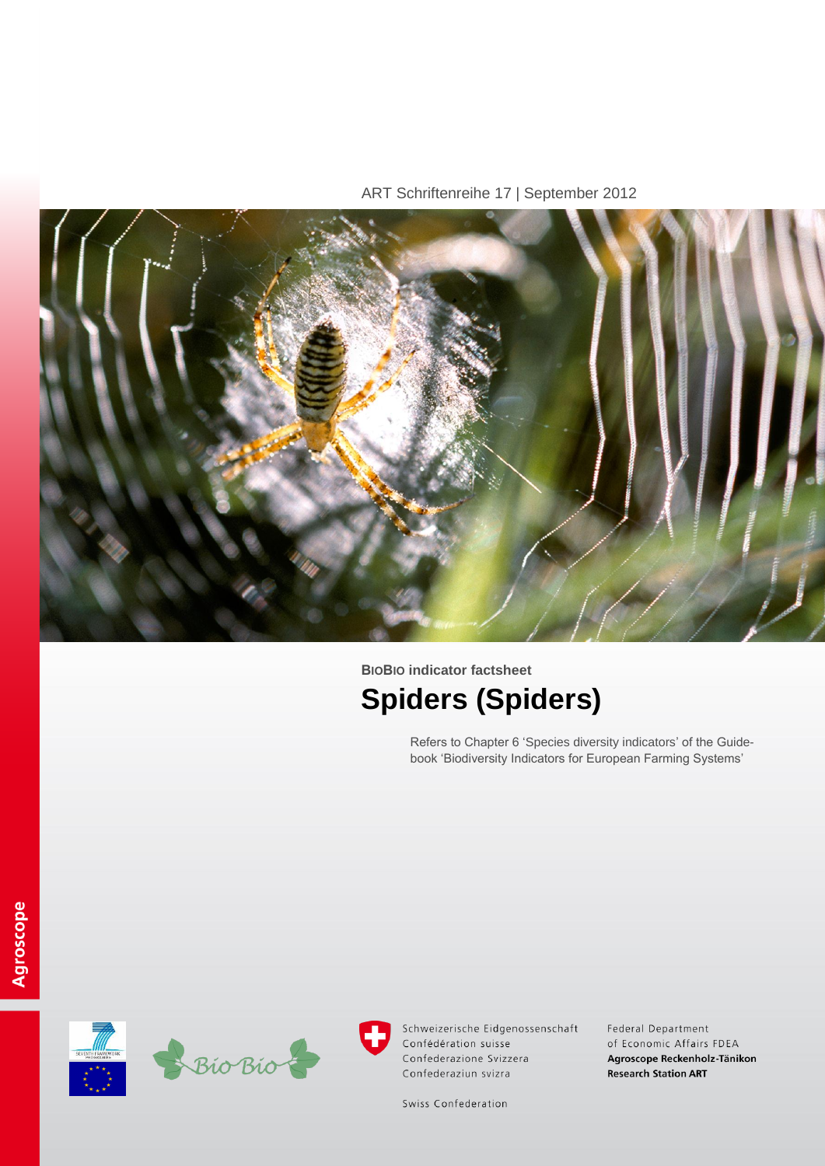ART Schriftenreihe 17 | September 2012



# **BIOBIO indicator factsheet Spiders (Spiders)**

Refers to Chapter 6 'Species diversity indicators' of the Guidebook 'Biodiversity Indicators for European Farming Systems'





Schweizerische Eidgenossenschaft Confédération suisse Confederazione Svizzera Confederaziun svizra

Federal Department of Economic Affairs FDEA Agroscope Reckenholz-Tänikon **Research Station ART** 

Swiss Confederation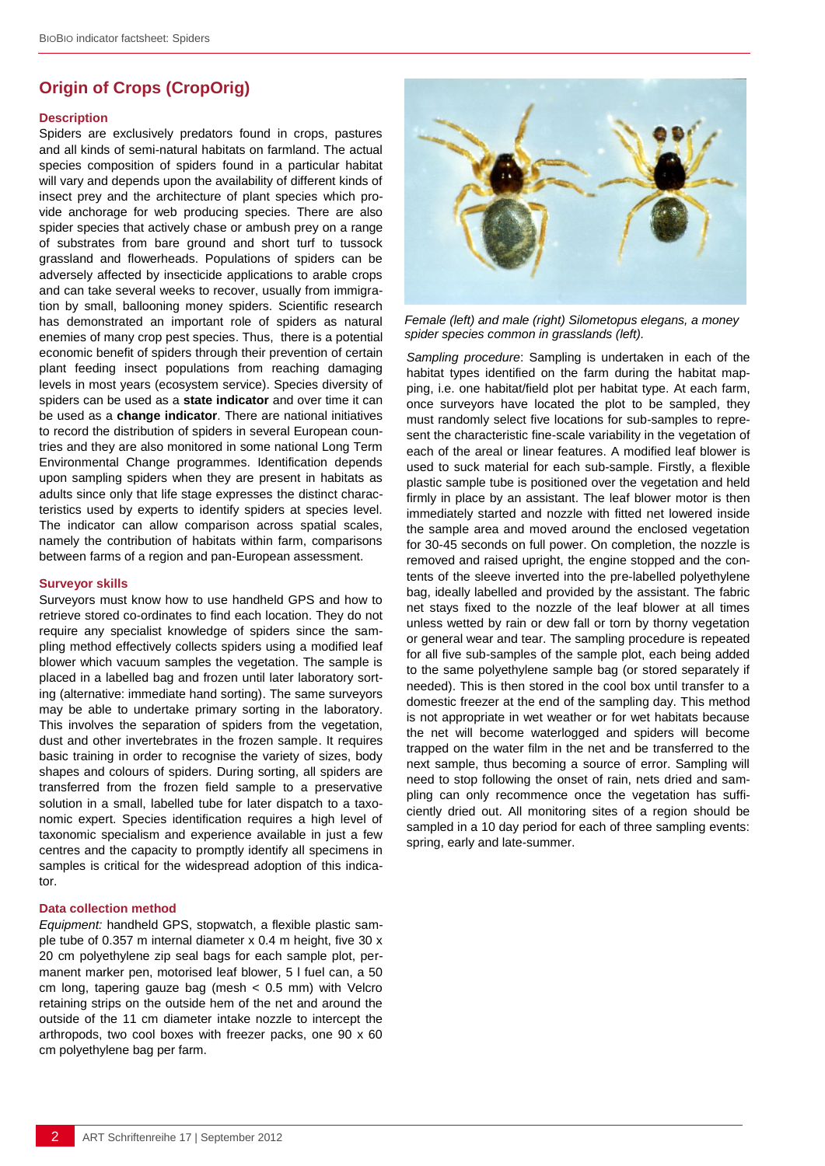## **Origin of Crops (CropOrig)**

### **Description**

Spiders are exclusively predators found in crops, pastures and all kinds of semi-natural habitats on farmland. The actual species composition of spiders found in a particular habitat will vary and depends upon the availability of different kinds of insect prey and the architecture of plant species which provide anchorage for web producing species. There are also spider species that actively chase or ambush prey on a range of substrates from bare ground and short turf to tussock grassland and flowerheads. Populations of spiders can be adversely affected by insecticide applications to arable crops and can take several weeks to recover, usually from immigration by small, ballooning money spiders. Scientific research has demonstrated an important role of spiders as natural enemies of many crop pest species. Thus, there is a potential economic benefit of spiders through their prevention of certain plant feeding insect populations from reaching damaging levels in most years (ecosystem service). Species diversity of spiders can be used as a **state indicator** and over time it can be used as a **change indicator**. There are national initiatives to record the distribution of spiders in several European countries and they are also monitored in some national Long Term Environmental Change programmes. Identification depends upon sampling spiders when they are present in habitats as adults since only that life stage expresses the distinct characteristics used by experts to identify spiders at species level. The indicator can allow comparison across spatial scales, namely the contribution of habitats within farm, comparisons between farms of a region and pan-European assessment.

#### **Surveyor skills**

Surveyors must know how to use handheld GPS and how to retrieve stored co-ordinates to find each location. They do not require any specialist knowledge of spiders since the sampling method effectively collects spiders using a modified leaf blower which vacuum samples the vegetation. The sample is placed in a labelled bag and frozen until later laboratory sorting (alternative: immediate hand sorting). The same surveyors may be able to undertake primary sorting in the laboratory. This involves the separation of spiders from the vegetation, dust and other invertebrates in the frozen sample. It requires basic training in order to recognise the variety of sizes, body shapes and colours of spiders. During sorting, all spiders are transferred from the frozen field sample to a preservative solution in a small, labelled tube for later dispatch to a taxonomic expert. Species identification requires a high level of taxonomic specialism and experience available in just a few centres and the capacity to promptly identify all specimens in samples is critical for the widespread adoption of this indicator.

#### **Data collection method**

*Equipment:* handheld GPS, stopwatch, a flexible plastic sample tube of 0.357 m internal diameter x 0.4 m height, five 30 x 20 cm polyethylene zip seal bags for each sample plot, permanent marker pen, motorised leaf blower, 5 l fuel can, a 50 cm long, tapering gauze bag (mesh  $< 0.5$  mm) with Velcro retaining strips on the outside hem of the net and around the outside of the 11 cm diameter intake nozzle to intercept the arthropods, two cool boxes with freezer packs, one 90 x 60 cm polyethylene bag per farm.



*Female (left) and male (right) Silometopus elegans, a money spider species common in grasslands (left).*

*Sampling procedure*: Sampling is undertaken in each of the habitat types identified on the farm during the habitat mapping, i.e. one habitat/field plot per habitat type. At each farm, once surveyors have located the plot to be sampled, they must randomly select five locations for sub-samples to represent the characteristic fine-scale variability in the vegetation of each of the areal or linear features. A modified leaf blower is used to suck material for each sub-sample. Firstly, a flexible plastic sample tube is positioned over the vegetation and held firmly in place by an assistant. The leaf blower motor is then immediately started and nozzle with fitted net lowered inside the sample area and moved around the enclosed vegetation for 30-45 seconds on full power. On completion, the nozzle is removed and raised upright, the engine stopped and the contents of the sleeve inverted into the pre-labelled polyethylene bag, ideally labelled and provided by the assistant. The fabric net stays fixed to the nozzle of the leaf blower at all times unless wetted by rain or dew fall or torn by thorny vegetation or general wear and tear. The sampling procedure is repeated for all five sub-samples of the sample plot, each being added to the same polyethylene sample bag (or stored separately if needed). This is then stored in the cool box until transfer to a domestic freezer at the end of the sampling day. This method is not appropriate in wet weather or for wet habitats because the net will become waterlogged and spiders will become trapped on the water film in the net and be transferred to the next sample, thus becoming a source of error. Sampling will need to stop following the onset of rain, nets dried and sampling can only recommence once the vegetation has sufficiently dried out. All monitoring sites of a region should be sampled in a 10 day period for each of three sampling events: spring, early and late-summer.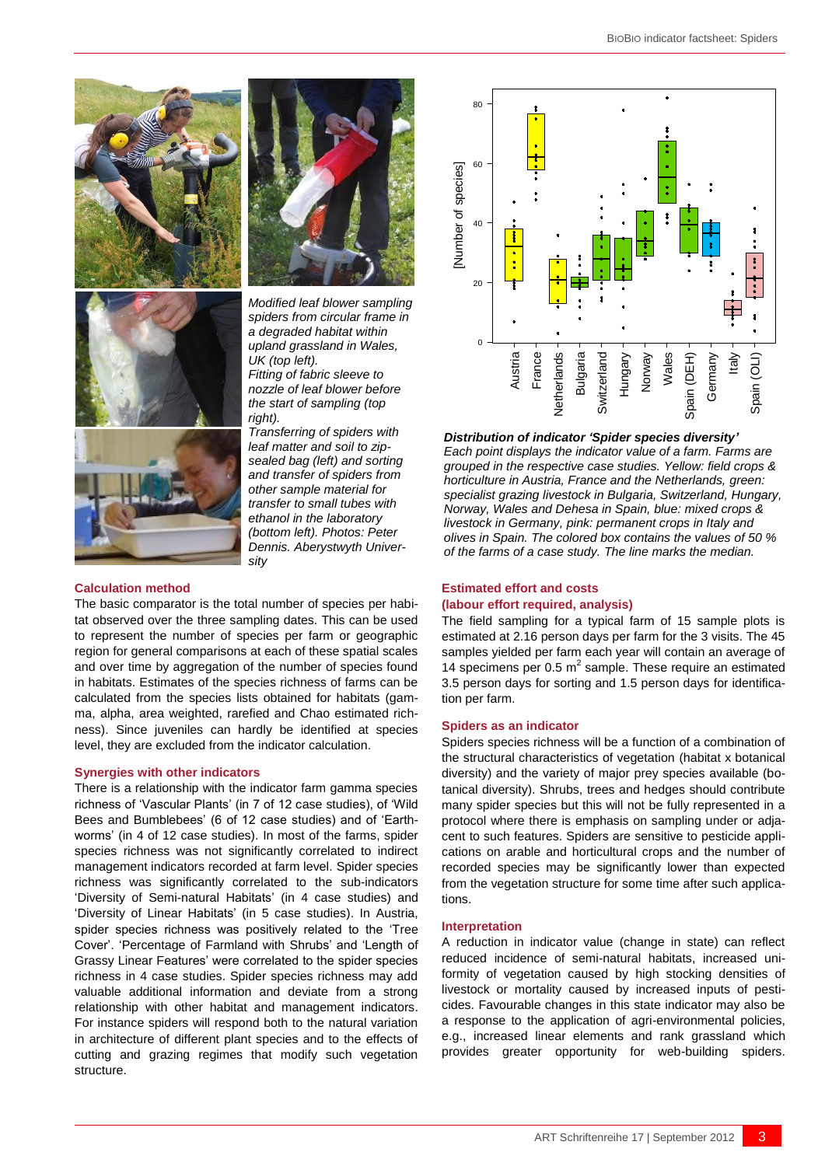



*Modified leaf blower sampling spiders from circular frame in a degraded habitat within upland grassland in Wales, UK (top left). Fitting of fabric sleeve to nozzle of leaf blower before* 

*the start of sampling (top right).*



#### **Calculation method**

The basic comparator is the total number of species per habitat observed over the three sampling dates. This can be used to represent the number of species per farm or geographic region for general comparisons at each of these spatial scales and over time by aggregation of the number of species found in habitats. Estimates of the species richness of farms can be calculated from the species lists obtained for habitats (gamma, alpha, area weighted, rarefied and Chao estimated richness). Since juveniles can hardly be identified at species level, they are excluded from the indicator calculation.

#### **Synergies with other indicators**

There is a relationship with the indicator farm gamma species richness of 'Vascular Plants' (in 7 of 12 case studies), of 'Wild Bees and Bumblebees' (6 of 12 case studies) and of 'Earthworms' (in 4 of 12 case studies). In most of the farms, spider species richness was not significantly correlated to indirect management indicators recorded at farm level. Spider species richness was significantly correlated to the sub-indicators 'Diversity of Semi-natural Habitats' (in 4 case studies) and 'Diversity of Linear Habitats' (in 5 case studies). In Austria, spider species richness was positively related to the 'Tree Cover'. 'Percentage of Farmland with Shrubs' and 'Length of Grassy Linear Features' were correlated to the spider species richness in 4 case studies. Spider species richness may add valuable additional information and deviate from a strong relationship with other habitat and management indicators. For instance spiders will respond both to the natural variation in architecture of different plant species and to the effects of cutting and grazing regimes that modify such vegetation structure.



*Distribution of indicator 'Spider species diversity' Each point displays the indicator value of a farm. Farms are grouped in the respective case studies. Yellow: field crops & horticulture in Austria, France and the Netherlands, green: specialist grazing livestock in Bulgaria, Switzerland, Hungary, Norway, Wales and Dehesa in Spain, blue: mixed crops & livestock in Germany, pink: permanent crops in Italy and olives in Spain. The colored box contains the values of 50 % of the farms of a case study. The line marks the median.* 

#### **Estimated effort and costs**

#### **(labour effort required, analysis)**

The field sampling for a typical farm of 15 sample plots is estimated at 2.16 person days per farm for the 3 visits. The 45 samples yielded per farm each year will contain an average of 14 specimens per 0.5  $m^2$  sample. These require an estimated 3.5 person days for sorting and 1.5 person days for identification per farm.

#### **Spiders as an indicator**

Spiders species richness will be a function of a combination of the structural characteristics of vegetation (habitat x botanical diversity) and the variety of major prey species available (botanical diversity). Shrubs, trees and hedges should contribute many spider species but this will not be fully represented in a protocol where there is emphasis on sampling under or adjacent to such features. Spiders are sensitive to pesticide applications on arable and horticultural crops and the number of recorded species may be significantly lower than expected from the vegetation structure for some time after such applications. provides greater the specified opportunity for the spider opportunity of vegetation of the spine of the spine of the spine of the spine of the spine of the spine of the spine of the spine of the spine of the spine of the

#### **Interpretation**

A reduction in indicator value (change in state) can reflect reduced incidence of semi-natural habitats, increased uniformity of vegetation caused by high stocking densities of livestock or mortality caused by increased inputs of pesticides. Favourable changes in this state indicator may also be a response to the application of agri-environmental policies, e.g., increased linear elements and rank grassland which